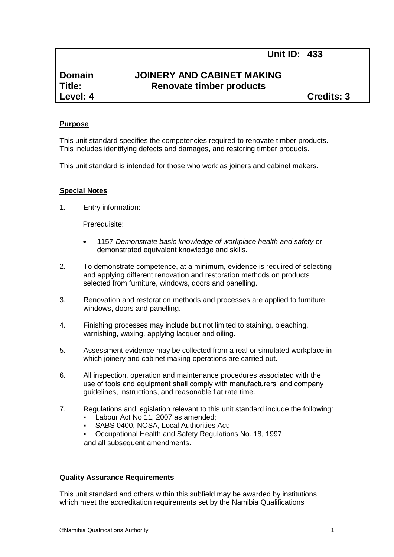# **Domain JOINERY AND CABINET MAKING Title: Renovate timber products**

**Level: 4 Credits: 3**

### **Purpose**

This unit standard specifies the competencies required to renovate timber products. This includes identifying defects and damages, and restoring timber products.

This unit standard is intended for those who work as joiners and cabinet makers.

#### **Special Notes**

1. Entry information:

Prerequisite:

- 1157*-Demonstrate basic knowledge of workplace health and safety* or demonstrated equivalent knowledge and skills.
- 2. To demonstrate competence, at a minimum, evidence is required of selecting and applying different renovation and restoration methods on products selected from furniture, windows, doors and panelling.
- 3. Renovation and restoration methods and processes are applied to furniture, windows, doors and panelling.
- 4. Finishing processes may include but not limited to staining, bleaching, varnishing, waxing, applying lacquer and oiling.
- 5. Assessment evidence may be collected from a real or simulated workplace in which joinery and cabinet making operations are carried out.
- 6. All inspection, operation and maintenance procedures associated with the use of tools and equipment shall comply with manufacturers' and company guidelines, instructions, and reasonable flat rate time.
- 7. Regulations and legislation relevant to this unit standard include the following: Labour Act No 11, 2007 as amended:
	- SABS 0400, NOSA, Local Authorities Act;
	- Occupational Health and Safety Regulations No. 18, 1997 and all subsequent amendments.

#### **Quality Assurance Requirements**

This unit standard and others within this subfield may be awarded by institutions which meet the accreditation requirements set by the Namibia Qualifications